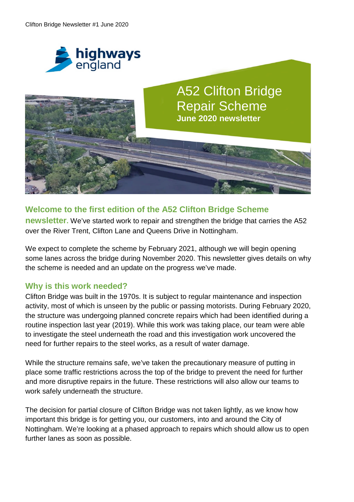



## **Welcome to the first edition of the A52 Clifton Bridge Scheme**

**newsletter.** We've started work to repair and strengthen the bridge that carries the A52 over the River Trent, Clifton Lane and Queens Drive in Nottingham.

We expect to complete the scheme by February 2021, although we will begin opening some lanes across the bridge during November 2020. This newsletter gives details on why the scheme is needed and an update on the progress we've made.

### **Why is this work needed?**

Clifton Bridge was built in the 1970s. It is subject to regular maintenance and inspection activity, most of which is unseen by the public or passing motorists. During February 2020, the structure was undergoing planned concrete repairs which had been identified during a routine inspection last year (2019). While this work was taking place, our team were able to investigate the steel underneath the road and this investigation work uncovered the need for further repairs to the steel works, as a result of water damage.

While the structure remains safe, we've taken the precautionary measure of putting in place some traffic restrictions across the top of the bridge to prevent the need for further and more disruptive repairs in the future. These restrictions will also allow our teams to work safely underneath the structure.

The decision for partial closure of Clifton Bridge was not taken lightly, as we know how important this bridge is for getting you, our customers, into and around the City of Nottingham. We're looking at a phased approach to repairs which should allow us to open further lanes as soon as possible.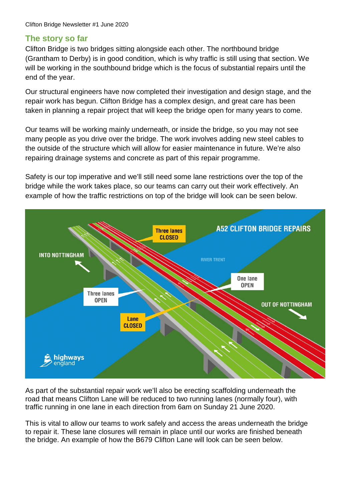## **The story so far**

Clifton Bridge is two bridges sitting alongside each other. The northbound bridge (Grantham to Derby) is in good condition, which is why traffic is still using that section. We will be working in the southbound bridge which is the focus of substantial repairs until the end of the year.

Our structural engineers have now completed their investigation and design stage, and the repair work has begun. Clifton Bridge has a complex design, and great care has been taken in planning a repair project that will keep the bridge open for many years to come.

Our teams will be working mainly underneath, or inside the bridge, so you may not see many people as you drive over the bridge. The work involves adding new steel cables to the outside of the structure which will allow for easier maintenance in future. We're also repairing drainage systems and concrete as part of this repair programme.

Safety is our top imperative and we'll still need some lane restrictions over the top of the bridge while the work takes place, so our teams can carry out their work effectively. An example of how the traffic restrictions on top of the bridge will look can be seen below.



As part of the substantial repair work we'll also be erecting scaffolding underneath the road that means Clifton Lane will be reduced to two running lanes (normally four), with traffic running in one lane in each direction from 6am on Sunday 21 June 2020.

This is vital to allow our teams to work safely and access the areas underneath the bridge to repair it. These lane closures will remain in place until our works are finished beneath the bridge. An example of how the B679 Clifton Lane will look can be seen below.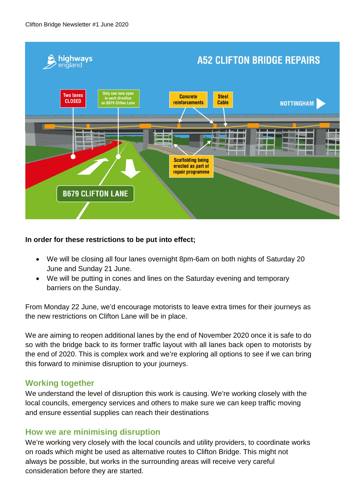

#### **In order for these restrictions to be put into effect;**

- We will be closing all four lanes overnight 8pm-6am on both nights of Saturday 20 June and Sunday 21 June.
- We will be putting in cones and lines on the Saturday evening and temporary barriers on the Sunday.

From Monday 22 June, we'd encourage motorists to leave extra times for their journeys as the new restrictions on Clifton Lane will be in place.

We are aiming to reopen additional lanes by the end of November 2020 once it is safe to do so with the bridge back to its former traffic layout with all lanes back open to motorists by the end of 2020. This is complex work and we're exploring all options to see if we can bring this forward to minimise disruption to your journeys.

### **Working together**

We understand the level of disruption this work is causing. We're working closely with the local councils, emergency services and others to make sure we can keep traffic moving and ensure essential supplies can reach their destinations

### **How we are minimising disruption**

We're working very closely with the local councils and utility providers, to coordinate works on roads which might be used as alternative routes to Clifton Bridge. This might not always be possible, but works in the surrounding areas will receive very careful consideration before they are started.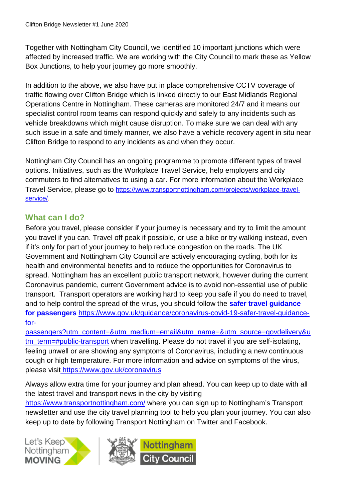Together with Nottingham City Council, we identified 10 important junctions which were affected by increased traffic. We are working with the City Council to mark these as Yellow Box Junctions, to help your journey go more smoothly.

In addition to the above, we also have put in place comprehensive CCTV coverage of traffic flowing over Clifton Bridge which is linked directly to our East Midlands Regional Operations Centre in Nottingham. These cameras are monitored 24/7 and it means our specialist control room teams can respond quickly and safely to any incidents such as vehicle breakdowns which might cause disruption. To make sure we can deal with any such issue in a safe and timely manner, we also have a vehicle recovery agent in situ near Clifton Bridge to respond to any incidents as and when they occur.

Nottingham City Council has an ongoing programme to promote different types of travel options. Initiatives, such as the Workplace Travel Service, help employers and city commuters to find alternatives to using a car. For more information about the Workplace Travel Service, please go to https://www.transportnottingham.com/projects/workplace-travelservice/.

# **What can I do?**

Before you travel, please consider if your journey is necessary and try to limit the amount you travel if you can. Travel off peak if possible, or use a bike or try walking instead, even if it's only for part of your journey to help reduce congestion on the roads. The UK Government and Nottingham City Council are actively encouraging cycling, both for its health and environmental benefits and to reduce the opportunities for Coronavirus to spread. Nottingham has an excellent public transport network, however during the current Coronavirus pandemic, current Government advice is to avoid non-essential use of public transport. Transport operators are working hard to keep you safe if you do need to travel, and to help control the spread of the virus, you should follow the **safer travel guidance for passengers** https://www.gov.uk/guidance/coronavirus-covid-19-safer-travel-guidancefor-

passengers?utm\_content=&utm\_medium=email&utm\_name=&utm\_source=govdelivery&u tm\_term=#public-transport when travelling. Please do not travel if you are self-isolating, feeling unwell or are showing any symptoms of Coronavirus, including a new continuous cough or high temperature. For more information and advice on symptoms of the virus, please visit https://www.gov.uk/coronavirus

Always allow extra time for your journey and plan ahead. You can keep up to date with all the latest travel and transport news in the city by visiting https://www.transportnottingham.com/ where you can sign up to Nottingham's Transport newsletter and use the city travel planning tool to help you plan your journey. You can also keep up to date by following Transport Nottingham on Twitter and Facebook.